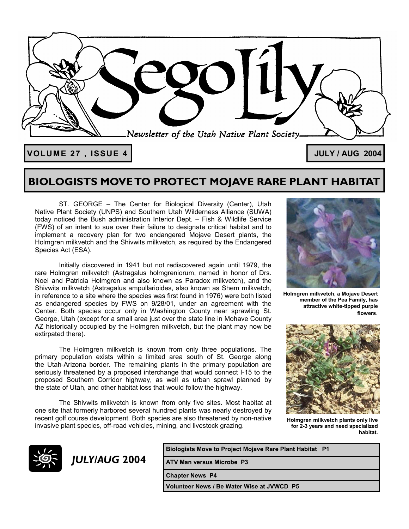

**VOLUME 27 , ISSUE 4 JULY / AUG 2004**

### **BIOLOGISTS MOVE TO PROTECT MOJAVE RARE PLANT HABITAT**

 ST. GEORGE – The Center for Biological Diversity (Center), Utah Native Plant Society (UNPS) and Southern Utah Wilderness Alliance (SUWA) today noticed the Bush administration Interior Dept. – Fish & Wildlife Service (FWS) of an intent to sue over their failure to designate critical habitat and to implement a recovery plan for two endangered Mojave Desert plants, the Holmgren milkvetch and the Shivwits milkvetch, as required by the Endangered Species Act (ESA).

Initially discovered in 1941 but not rediscovered again until 1979, the rare Holmgren milkvetch (Astragalus holmgreniorum, named in honor of Drs. Noel and Patricia Holmgren and also known as Paradox milkvetch), and the Shivwits milkvetch (Astragalus ampullarioides, also known as Shem milkvetch, in reference to a site where the species was first found in 1976) were both listed as endangered species by FWS on 9/28/01, under an agreement with the Center. Both species occur only in Washington County near sprawling St. George, Utah (except for a small area just over the state line in Mohave County AZ historically occupied by the Holmgren milkvetch, but the plant may now be extirpated there).

The Holmgren milkvetch is known from only three populations. The primary population exists within a limited area south of St. George along the Utah-Arizona border. The remaining plants in the primary population are seriously threatened by a proposed interchange that would connect I-15 to the proposed Southern Corridor highway, as well as urban sprawl planned by the state of Utah, and other habitat loss that would follow the highway.

The Shivwits milkvetch is known from only five sites. Most habitat at one site that formerly harbored several hundred plants was nearly destroyed by recent golf course development. Both species are also threatened by non-native invasive plant species, off-road vehicles, mining, and livestock grazing.



**Holmgren milkvetch, a Mojave Desert member of the Pea Family, has attractive white-tipped purple flowers**.



**Holmgren milkvetch plants only live for 2-3 years and need specialized habitat.** 



**Biologists Move to Project Mojave Rare Plant Habitat P1** 

*JULY/AUG* **2004 ATV Man versus Microbe P3** 

**Chapter News P4** 

**Volunteer News / Be Water Wise at JVWCD P5**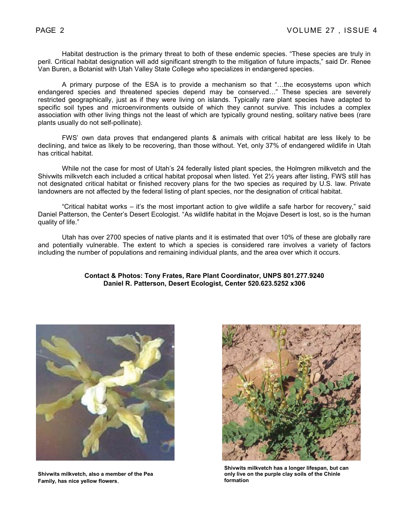Habitat destruction is the primary threat to both of these endemic species. "These species are truly in peril. Critical habitat designation will add significant strength to the mitigation of future impacts," said Dr. Renee Van Buren, a Botanist with Utah Valley State College who specializes in endangered species.

A primary purpose of the ESA is to provide a mechanism so that "…the ecosystems upon which endangered species and threatened species depend may be conserved…" These species are severely restricted geographically, just as if they were living on islands. Typically rare plant species have adapted to specific soil types and microenvironments outside of which they cannot survive. This includes a complex association with other living things not the least of which are typically ground nesting, solitary native bees (rare plants usually do not self-pollinate).

FWS' own data proves that endangered plants & animals with critical habitat are less likely to be declining, and twice as likely to be recovering, than those without. Yet, only 37% of endangered wildlife in Utah has critical habitat.

While not the case for most of Utah's 24 federally listed plant species, the Holmgren milkvetch and the Shivwits milkvetch each included a critical habitat proposal when listed. Yet 2½ years after listing, FWS still has not designated critical habitat or finished recovery plans for the two species as required by U.S. law. Private landowners are not affected by the federal listing of plant species, nor the designation of critical habitat.

"Critical habitat works – it's the most important action to give wildlife a safe harbor for recovery," said Daniel Patterson, the Center's Desert Ecologist. "As wildlife habitat in the Mojave Desert is lost, so is the human quality of life."

Utah has over 2700 species of native plants and it is estimated that over 10% of these are globally rare and potentially vulnerable. The extent to which a species is considered rare involves a variety of factors including the number of populations and remaining individual plants, and the area over which it occurs.

#### **Contact & Photos: Tony Frates, Rare Plant Coordinator, UNPS 801.277.9240 Daniel R. Patterson, Desert Ecologist, Center 520.623.5252 x306**



**Shivwits milkvetch, also a member of the Pea Family, has nice yellow flowers**.



**Shivwits milkvetch has a longer lifespan, but can only live on the purple clay soils of the Chinle formation**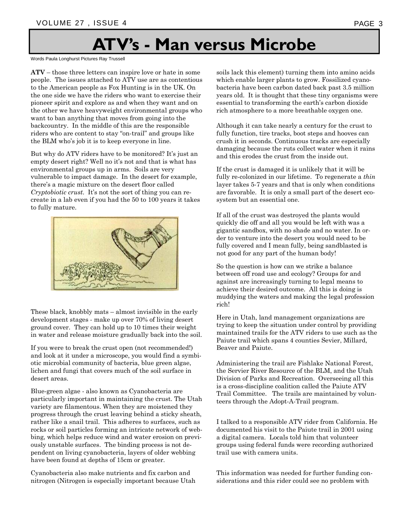## **ATV's - Man versus Microbe**

Words Paula Longhurst Pictures Ray Trussell

**ATV** – those three letters can inspire love or hate in some people. The issues attached to ATV use are as contentious to the American people as Fox Hunting is in the UK. On the one side we have the riders who want to exercise their pioneer spirit and explore as and when they want and on the other we have heavyweight environmental groups who want to ban anything that moves from going into the backcountry. In the middle of this are the responsible riders who are content to stay "on-trail" and groups like the BLM who's job it is to keep everyone in line.

But why do ATV riders have to be monitored? It's just an empty desert right? Well no it's not and that is what has environmental groups up in arms. Soils are very vulnerable to impact damage. In the desert for example, there's a magic mixture on the desert floor called *Cryptobiotic crust*. It's not the sort of thing you can recreate in a lab even if you had the 50 to 100 years it takes to fully mature.



These black, knobbly mats – almost invisible in the early development stages - make up over 70% of living desert ground cover. They can hold up to 10 times their weight in water and release moisture gradually back into the soil.

If you were to break the crust open (not recommended!) and look at it under a microscope, you would find a symbiotic microbial community of bacteria, blue green algae, lichen and fungi that covers much of the soil surface in desert areas.

Blue-green algae - also known as Cyanobacteria are particularly important in maintaining the crust. The Utah variety are filamentous. When they are moistened they progress through the crust leaving behind a sticky sheath, rather like a snail trail. This adheres to surfaces, such as rocks or soil particles forming an intricate network of webbing, which helps reduce wind and water erosion on previously unstable surfaces. The binding process is not dependent on living cyanobacteria, layers of older webbing have been found at depths of 15cm or greater.

Cyanobacteria also make nutrients and fix carbon and nitrogen (Nitrogen is especially important because Utah soils lack this element) turning them into amino acids which enable larger plants to grow. Fossilized cyanobacteria have been carbon dated back past 3.5 million years old. It is thought that these tiny organisms were essential to transforming the earth's carbon dioxide rich atmosphere to a more breathable oxygen one.

Although it can take nearly a century for the crust to fully function, tire tracks, boot steps and hooves can crush it in seconds. Continuous tracks are especially damaging because the ruts collect water when it rains and this erodes the crust from the inside out.

If the crust is damaged it is unlikely that it will be fully re-colonized in our lifetime. To regenerate a *thin* layer takes 5-7 years and that is only when conditions are favorable. It is only a small part of the desert ecosystem but an essential one.

If all of the crust was destroyed the plants would quickly die off and all you would be left with was a gigantic sandbox, with no shade and no water. In order to venture into the desert you would need to be fully covered and I mean fully, being sandblasted is not good for any part of the human body!

So the question is how can we strike a balance between off road use and ecology? Groups for and against are increasingly turning to legal means to achieve their desired outcome. All this is doing is muddying the waters and making the legal profession rich!

Here in Utah, land management organizations are trying to keep the situation under control by providing maintained trails for the ATV riders to use such as the Paiute trail which spans 4 counties Sevier, Millard, Beaver and Paiute.

Administering the trail are Fishlake National Forest, the Servier River Resource of the BLM, and the Utah Division of Parks and Recreation. Overseeing all this is a cross-discipline coalition called the Paiute ATV Trail Committee. The trails are maintained by volunteers through the Adopt-A-Trail program.

I talked to a responsible ATV rider from California. He documented his visit to the Paiute trail in 2001 using a digital camera. Locals told him that volunteer groups using federal funds were recording authorized trail use with camera units.

This information was needed for further funding considerations and this rider could see no problem with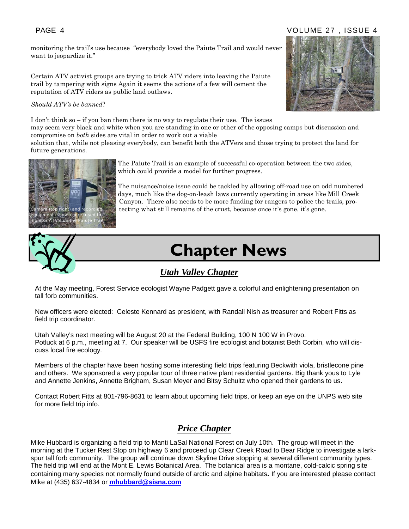### PAGE 4 VOLUME 27 , ISSUE 4

monitoring the trail's use because "everybody loved the Paiute Trail and would never want to jeopardize it."

Certain ATV activist groups are trying to trick ATV riders into leaving the Paiute trail by tampering with signs Again it seems the actions of a few will cement the reputation of ATV riders as public land outlaws.

#### *Should ATV's be banned*?

I don't think so – if you ban them there is no way to regulate their use. The issues

may seem very black and white when you are standing in one or other of the opposing camps but discussion and compromise on *both* sides are vital in order to work out a viable

solution that, while not pleasing everybody, can benefit both the ATVers and those trying to protect the land for future generations.



The Paiute Trail is an example of successful co-operation between the two sides, which could provide a model for further progress.

The nuisance/noise issue could be tackled by allowing off-road use on odd numbered days, much like the dog-on-leash laws currently operating in areas like Mill Creek Canyon. There also needs to be more funding for rangers to police the trails, pro- $\Gamma$ right) and recording tecting what still remains of the crust, because once it's gone, it's gone.



# **Chapter News**

### *Utah Valley Chapter*

At the May meeting, Forest Service ecologist Wayne Padgett gave a colorful and enlightening presentation on tall forb communities.

New officers were elected: Celeste Kennard as president, with Randall Nish as treasurer and Robert Fitts as field trip coordinator.

Utah Valley's next meeting will be August 20 at the Federal Building, 100 N 100 W in Provo. Potluck at 6 p.m., meeting at 7. Our speaker will be USFS fire ecologist and botanist Beth Corbin, who will discuss local fire ecology.

Members of the chapter have been hosting some interesting field trips featuring Beckwith viola, bristlecone pine and others. We sponsored a very popular tour of three native plant residential gardens. Big thank yous to Lyle and Annette Jenkins, Annette Brigham, Susan Meyer and Bitsy Schultz who opened their gardens to us.

Contact Robert Fitts at 801-796-8631 to learn about upcoming field trips, or keep an eye on the UNPS web site for more field trip info.

### *Price Chapter*

Mike Hubbard is organizing a field trip to Manti LaSal National Forest on July 10th. The group will meet in the morning at the Tucker Rest Stop on highway 6 and proceed up Clear Creek Road to Bear Ridge to investigate a larkspur tall forb community. The group will continue down Skyline Drive stopping at several different community types. The field trip will end at the Mont E. Lewis Botanical Area. The botanical area is a montane, cold-calcic spring site containing many species not normally found outside of arctic and alpine habitats**.** If you are interested please contact Mike at (435) 637-4834 or **mhubbard@sisna.com**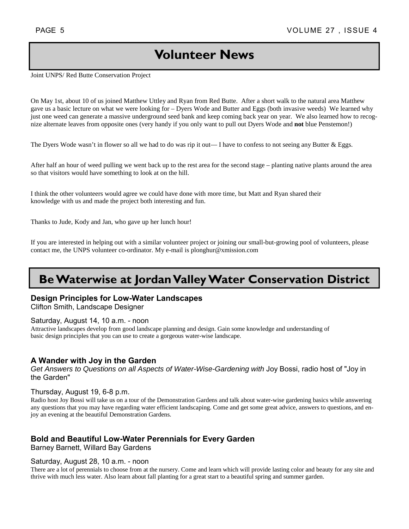### **Volunteer News**

Joint UNPS/ Red Butte Conservation Project

On May 1st, about 10 of us joined Matthew Uttley and Ryan from Red Butte. After a short walk to the natural area Matthew gave us a basic lecture on what we were looking for – Dyers Wode and Butter and Eggs (both invasive weeds) We learned why just one weed can generate a massive underground seed bank and keep coming back year on year. We also learned how to recognize alternate leaves from opposite ones (very handy if you only want to pull out Dyers Wode and **not** blue Penstemon!)

The Dyers Wode wasn't in flower so all we had to do was rip it out— I have to confess to not seeing any Butter  $\&$  Eggs.

After half an hour of weed pulling we went back up to the rest area for the second stage – planting native plants around the area so that visitors would have something to look at on the hill.

I think the other volunteers would agree we could have done with more time, but Matt and Ryan shared their knowledge with us and made the project both interesting and fun.

Thanks to Jude, Kody and Jan, who gave up her lunch hour!

If you are interested in helping out with a similar volunteer project or joining our small-but-growing pool of volunteers, please contact me, the UNPS volunteer co-ordinator. My e-mail is plonghur@xmission.com

### **Be Waterwise at Jordan Valley Water Conservation District**

### **Design Principles for Low-Water Landscapes**

Clifton Smith, Landscape Designer

#### Saturday, August 14, 10 a.m. - noon

Attractive landscapes develop from good landscape planning and design. Gain some knowledge and understanding of basic design principles that you can use to create a gorgeous water-wise landscape.

### **A Wander with Joy in the Garden**

*Get Answers to Questions on all Aspects of Water-Wise-Gardening with* Joy Bossi, radio host of "Joy in the Garden"

#### Thursday, August 19, 6-8 p.m.

Radio host Joy Bossi will take us on a tour of the Demonstration Gardens and talk about water-wise gardening basics while answering any questions that you may have regarding water efficient landscaping. Come and get some great advice, answers to questions, and enjoy an evening at the beautiful Demonstration Gardens.

### **Bold and Beautiful Low-Water Perennials for Every Garden**

Barney Barnett, Willard Bay Gardens

#### Saturday, August 28, 10 a.m. - noon

There are a lot of perennials to choose from at the nursery. Come and learn which will provide lasting color and beauty for any site and thrive with much less water. Also learn about fall planting for a great start to a beautiful spring and summer garden.